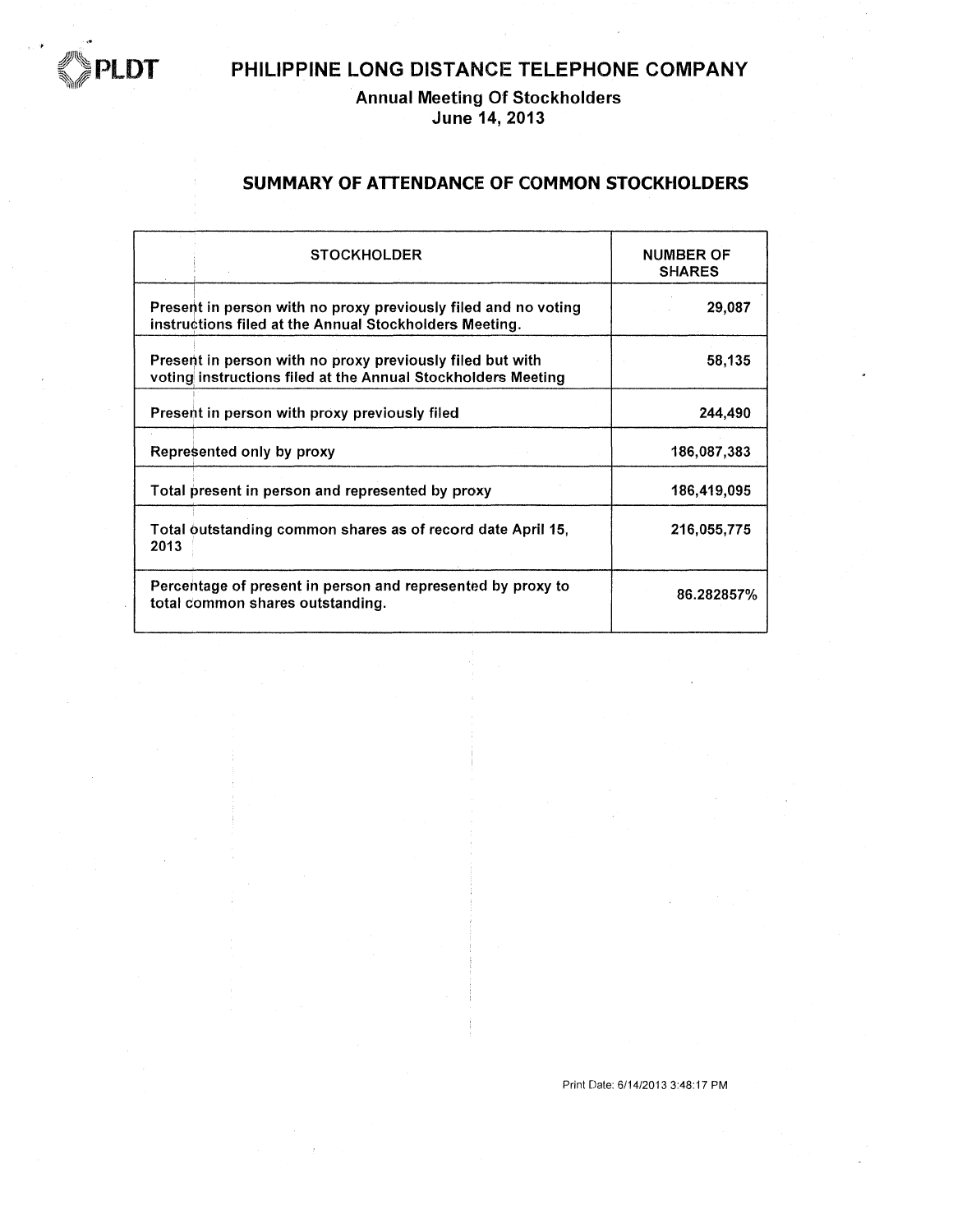

Annual Meeting Of Stockholders<br>June 14, 2013

#### SUMMARY OF ATTENDANCE OF COMMON STOCKHOLDERS

| <b>STOCKHOLDER</b>                                                                                                        | <b>NUMBER OF</b><br><b>SHARES</b> |
|---------------------------------------------------------------------------------------------------------------------------|-----------------------------------|
| Present in person with no proxy previously filed and no voting<br>instructions filed at the Annual Stockholders Meeting.  | 29,087                            |
| Present in person with no proxy previously filed but with<br>voting instructions filed at the Annual Stockholders Meeting | 58,135                            |
| Present in person with proxy previously filed                                                                             | 244,490                           |
| Represented only by proxy                                                                                                 | 186,087,383                       |
| Total present in person and represented by proxy                                                                          | 186,419,095                       |
| Total outstanding common shares as of record date April 15,<br>2013                                                       | 216,055,775                       |
| Percentage of present in person and represented by proxy to<br>total common shares outstanding.                           | 86.282857%                        |

Print Date: 6/14/2013 3:48:17 PM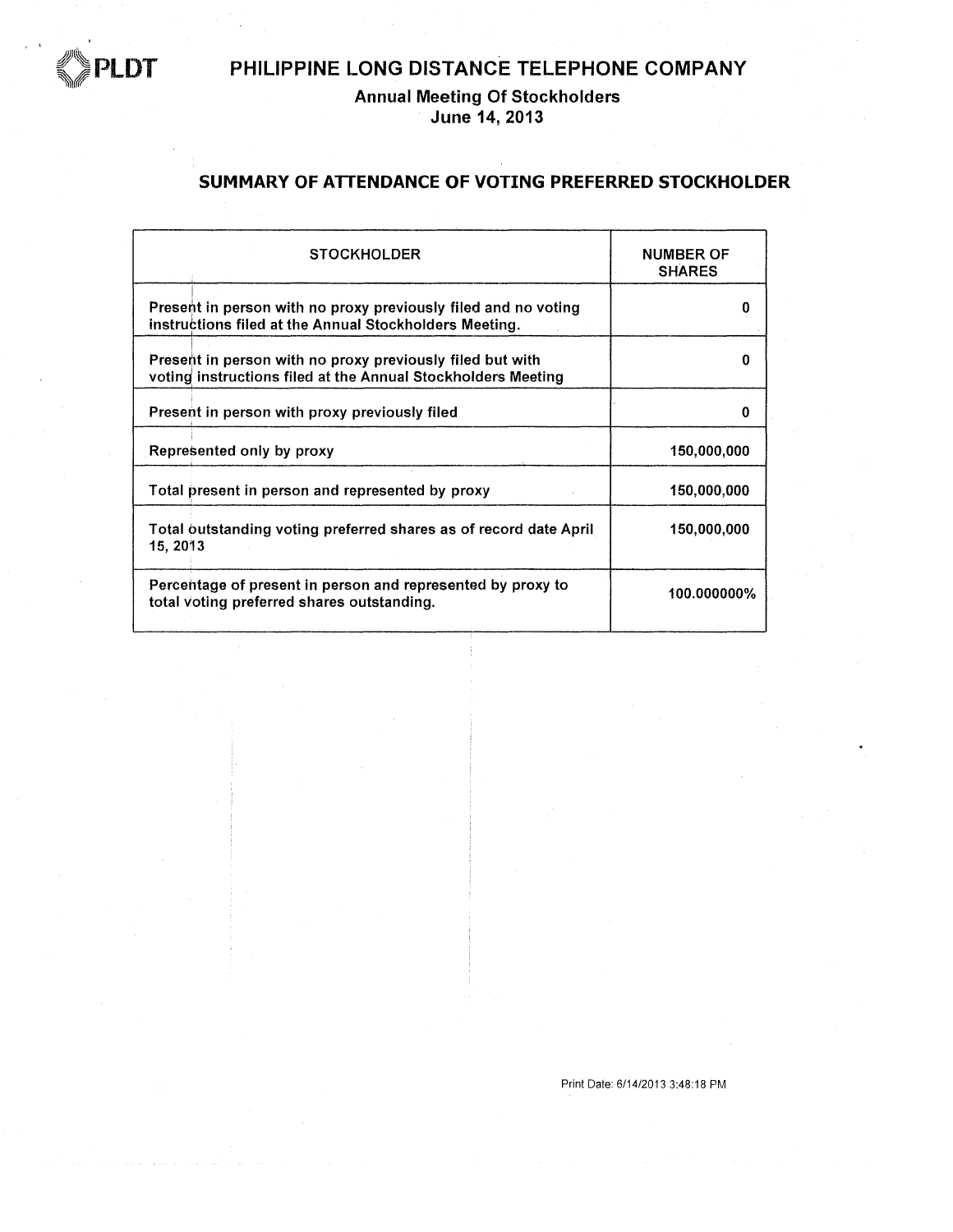

# Annual Meeting Of Stockholders<br>June 14, 2013

#### SUMMARY OF ATTENDANCE OF VOTING PREFERRED STOCKHOLDER

| <b>STOCKHOLDER</b>                                                                                                        | <b>NUMBER OF</b><br><b>SHARES</b> |
|---------------------------------------------------------------------------------------------------------------------------|-----------------------------------|
| Present in person with no proxy previously filed and no voting<br>instructions filed at the Annual Stockholders Meeting.  | O                                 |
| Present in person with no proxy previously filed but with<br>voting instructions filed at the Annual Stockholders Meeting | o                                 |
| Present in person with proxy previously filed                                                                             | O                                 |
| Represented only by proxy                                                                                                 | 150.000.000                       |
| Total present in person and represented by proxy                                                                          | 150,000,000                       |
| Total outstanding voting preferred shares as of record date April<br>15, 2013                                             | 150,000,000                       |
| Percentage of present in person and represented by proxy to<br>total voting preferred shares outstanding.                 | 100.000000%                       |

Print Date: 6/14/2013 3:48:18 PM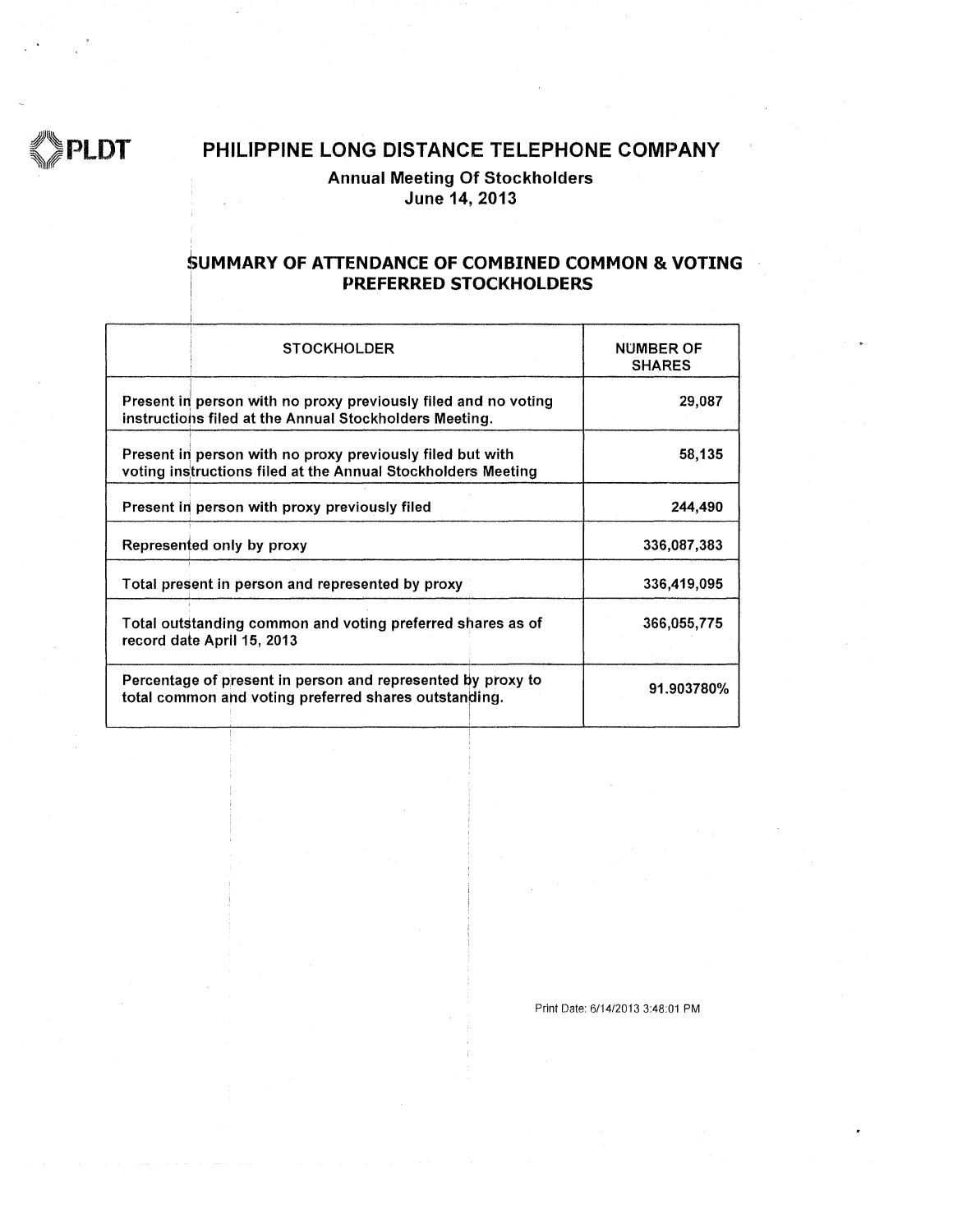

#### **Annual Meeting Of Stockholders** June 14, 2013

#### SUMMARY OF ATTENDANCE OF COMBINED COMMON & VOTING PREFERRED STOCKHOLDERS

| <b>STOCKHOLDER</b>                                                                                                        | <b>NUMBER OF</b><br><b>SHARES</b> |
|---------------------------------------------------------------------------------------------------------------------------|-----------------------------------|
| Present in person with no proxy previously filed and no voting<br>instructions filed at the Annual Stockholders Meeting.  | 29,087                            |
| Present in person with no proxy previously filed but with<br>voting instructions filed at the Annual Stockholders Meeting | 58,135                            |
| Present in person with proxy previously filed                                                                             | 244,490                           |
| Represented only by proxy                                                                                                 | 336,087,383                       |
| Total present in person and represented by proxy                                                                          | 336,419,095                       |
| Total outstanding common and voting preferred shares as of<br>record date April 15, 2013                                  | 366,055,775                       |
| Percentage of present in person and represented by proxy to<br>total common and voting preferred shares outstanding.      | 91.903780%                        |

Print Date: 6/14/2013 3:48:01 PM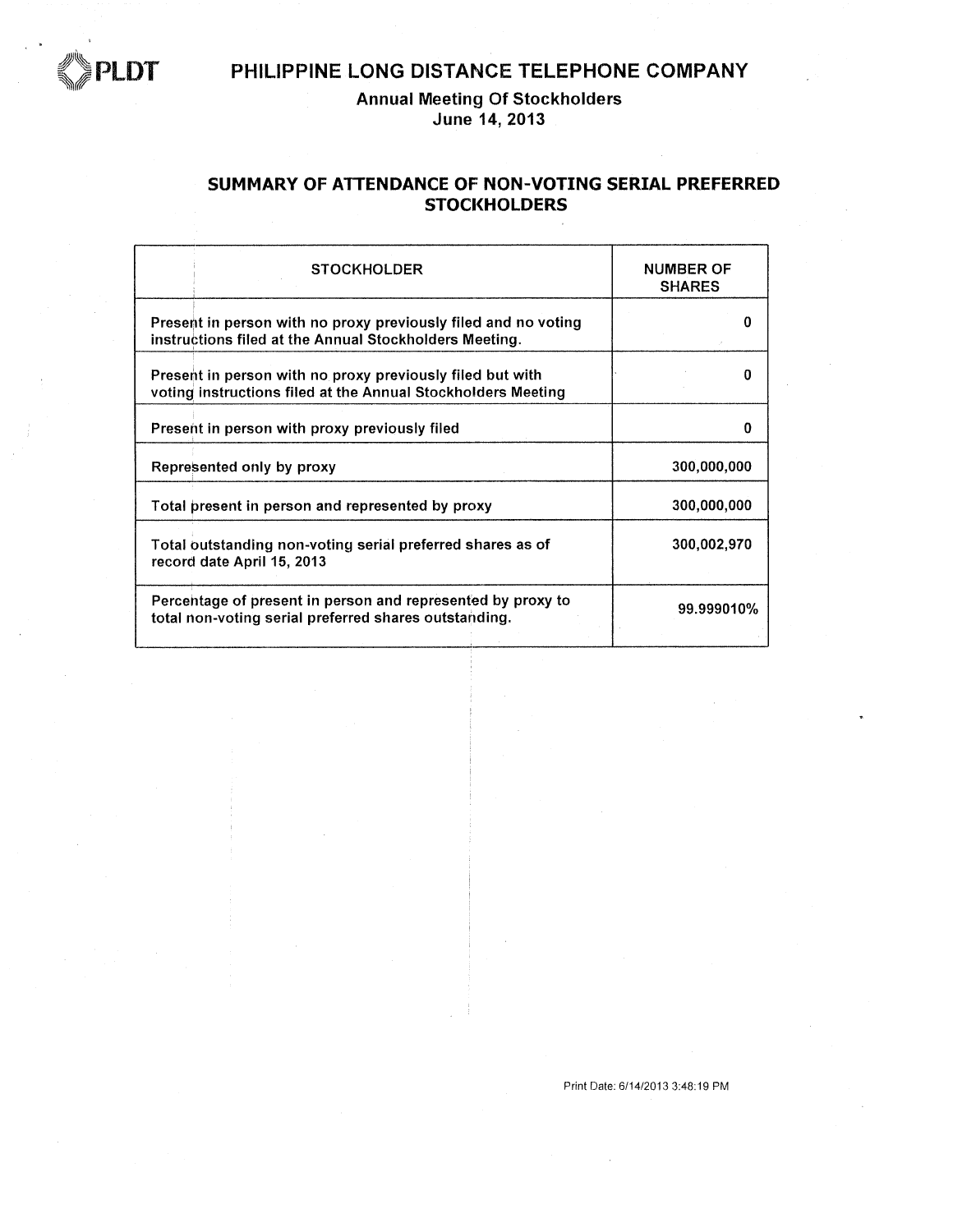

**Annual Meeting Of Stockholders** June 14, 2013

#### SUMMARY OF ATTENDANCE OF NON-VOTING SERIAL PREFERRED **STOCKHOLDERS**

| <b>STOCKHOLDER</b>                                                                                                        | <b>NUMBER OF</b><br><b>SHARES</b> |
|---------------------------------------------------------------------------------------------------------------------------|-----------------------------------|
| Present in person with no proxy previously filed and no voting<br>instructions filed at the Annual Stockholders Meeting.  | o                                 |
| Present in person with no proxy previously filed but with<br>voting instructions filed at the Annual Stockholders Meeting |                                   |
| Present in person with proxy previously filed                                                                             | o                                 |
| Represented only by proxy                                                                                                 | 300,000,000                       |
| Total present in person and represented by proxy                                                                          | 300,000,000                       |
| Total outstanding non-voting serial preferred shares as of<br>record date April 15, 2013                                  | 300,002,970                       |
| Percentage of present in person and represented by proxy to<br>total non-voting serial preferred shares outstanding.      | 99.999010%                        |

Print Date: 6/14/2013 3:48:19 PM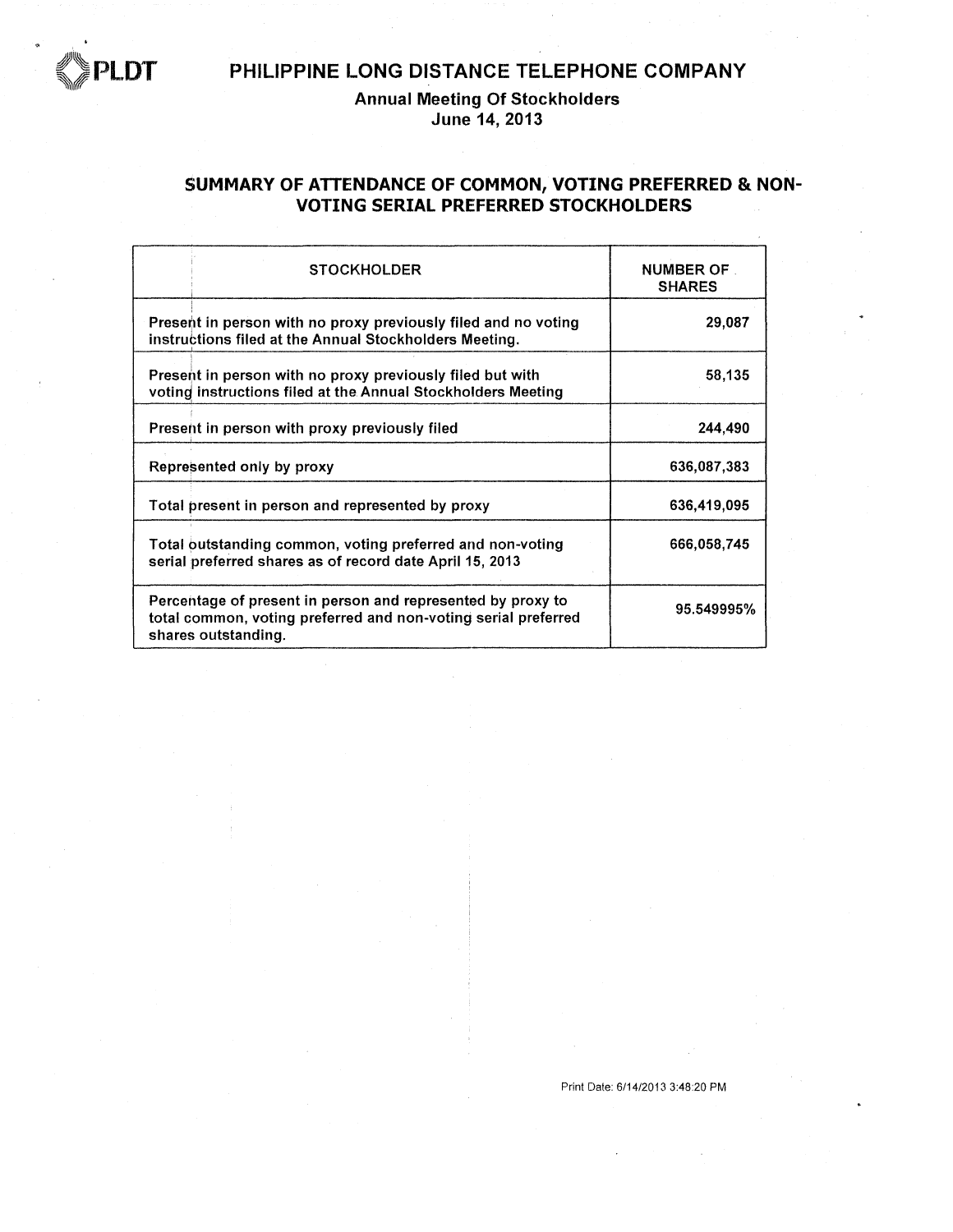

**Annual Meeting Of Stockholders** June 14, 2013

#### SUMMARY OF ATTENDANCE OF COMMON, VOTING PREFERRED & NON-**VOTING SERIAL PREFERRED STOCKHOLDERS**

| <b>STOCKHOLDER</b>                                                                                                                                   | <b>NUMBER OF</b><br><b>SHARES</b> |
|------------------------------------------------------------------------------------------------------------------------------------------------------|-----------------------------------|
| Present in person with no proxy previously filed and no voting<br>instructions filed at the Annual Stockholders Meeting.                             | 29,087                            |
| Present in person with no proxy previously filed but with<br>voting instructions filed at the Annual Stockholders Meeting                            | 58,135                            |
| Present in person with proxy previously filed                                                                                                        | 244,490                           |
| Represented only by proxy                                                                                                                            | 636,087,383                       |
| Total present in person and represented by proxy                                                                                                     | 636,419,095                       |
| Total outstanding common, voting preferred and non-voting<br>serial preferred shares as of record date April 15, 2013                                | 666,058,745                       |
| Percentage of present in person and represented by proxy to<br>total common, voting preferred and non-voting serial preferred<br>shares outstanding. | 95.549995%                        |

Print Date: 6/14/2013 3:48:20 PM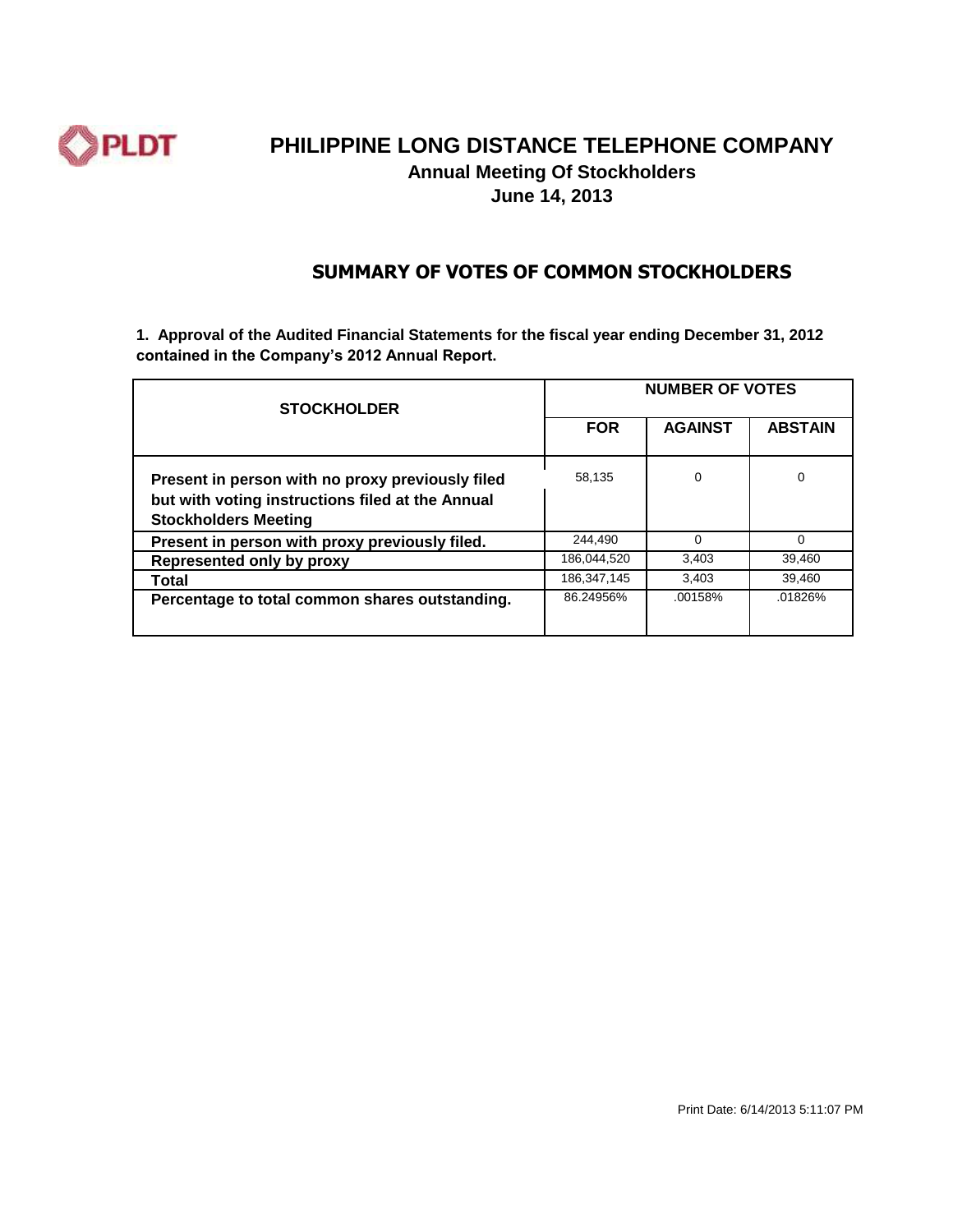

## **PHILIPPINE LONG DISTANCE TELEPHONE COMPANY Annual Meeting Of Stockholders**

**June 14, 2013**

#### **SUMMARY OF VOTES OF COMMON STOCKHOLDERS**

**1. Approval of the Audited Financial Statements for the fiscal year ending December 31, 2012 contained in the Company's 2012 Annual Report.**

| <b>STOCKHOLDER</b>                                                                                                                  | <b>NUMBER OF VOTES</b> |                |                |
|-------------------------------------------------------------------------------------------------------------------------------------|------------------------|----------------|----------------|
|                                                                                                                                     | <b>FOR</b>             | <b>AGAINST</b> | <b>ABSTAIN</b> |
| Present in person with no proxy previously filed<br>but with voting instructions filed at the Annual<br><b>Stockholders Meeting</b> | 58,135                 | 0              | 0              |
| Present in person with proxy previously filed.                                                                                      | 244,490                | $\Omega$       | ∩              |
| Represented only by proxy                                                                                                           | 186.044.520            | 3.403          | 39.460         |
| Total                                                                                                                               | 186,347,145            | 3,403          | 39.460         |
| Percentage to total common shares outstanding.                                                                                      | 86.24956%              | .00158%        | .01826%        |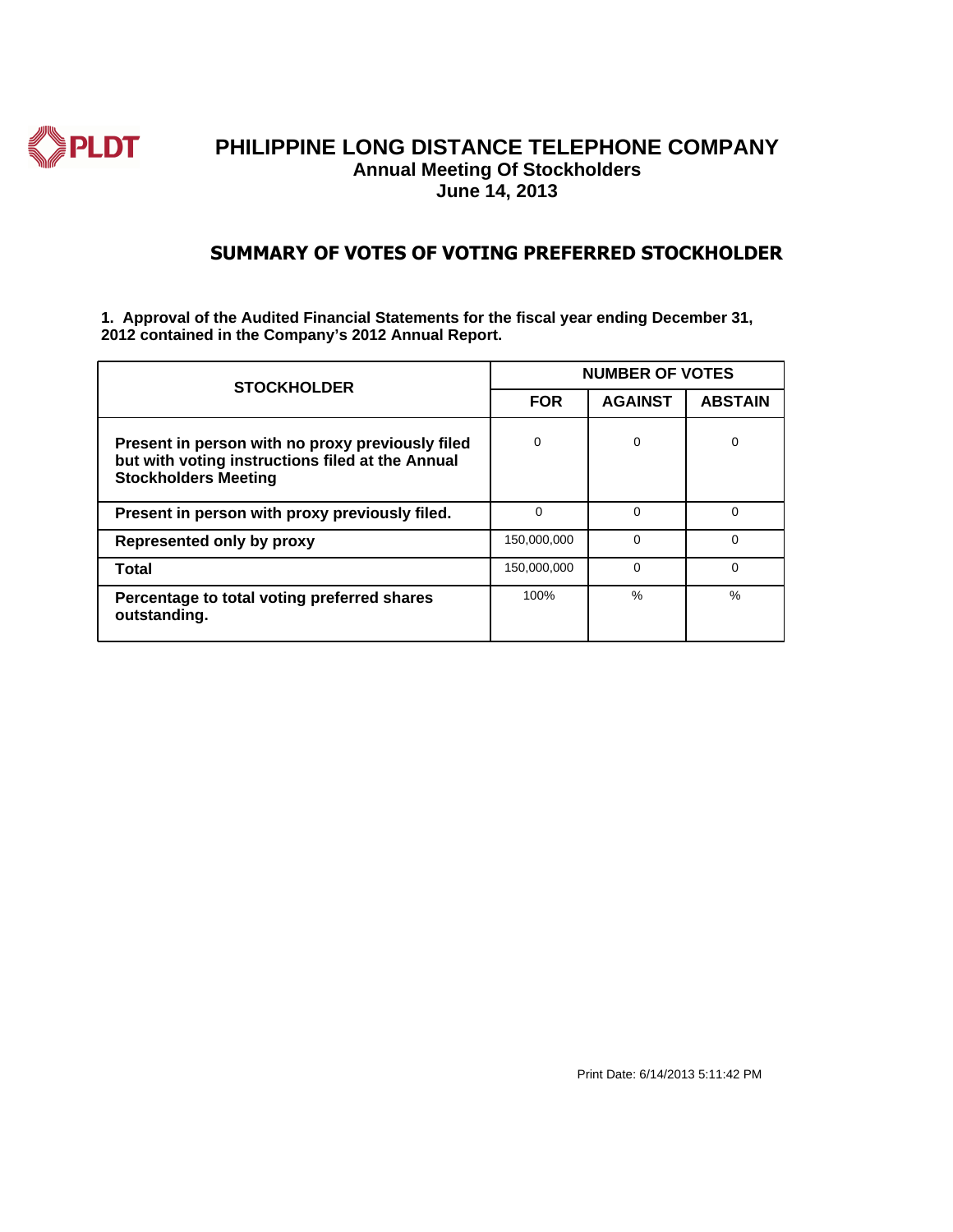

#### **SUMMARY OF VOTES OF VOTING PREFERRED STOCKHOLDER**

**1. Approval of the Audited Financial Statements for the fiscal year ending December 31, 2012 contained in the Company's 2012 Annual Report.**

| <b>STOCKHOLDER</b>                                                                                                                  | <b>NUMBER OF VOTES</b> |                |                |  |
|-------------------------------------------------------------------------------------------------------------------------------------|------------------------|----------------|----------------|--|
|                                                                                                                                     | <b>FOR</b>             | <b>AGAINST</b> | <b>ABSTAIN</b> |  |
| Present in person with no proxy previously filed<br>but with voting instructions filed at the Annual<br><b>Stockholders Meeting</b> | $\Omega$               | $\Omega$       | 0              |  |
| Present in person with proxy previously filed.                                                                                      | $\Omega$               | $\Omega$       | $\Omega$       |  |
| Represented only by proxy                                                                                                           | 150,000,000            | $\Omega$       | $\Omega$       |  |
| Total                                                                                                                               | 150,000,000            | $\Omega$       | $\Omega$       |  |
| Percentage to total voting preferred shares<br>outstanding.                                                                         | 100%                   | $\frac{0}{0}$  | $\frac{0}{6}$  |  |

Print Date: 6/14/2013 5:11:42 PM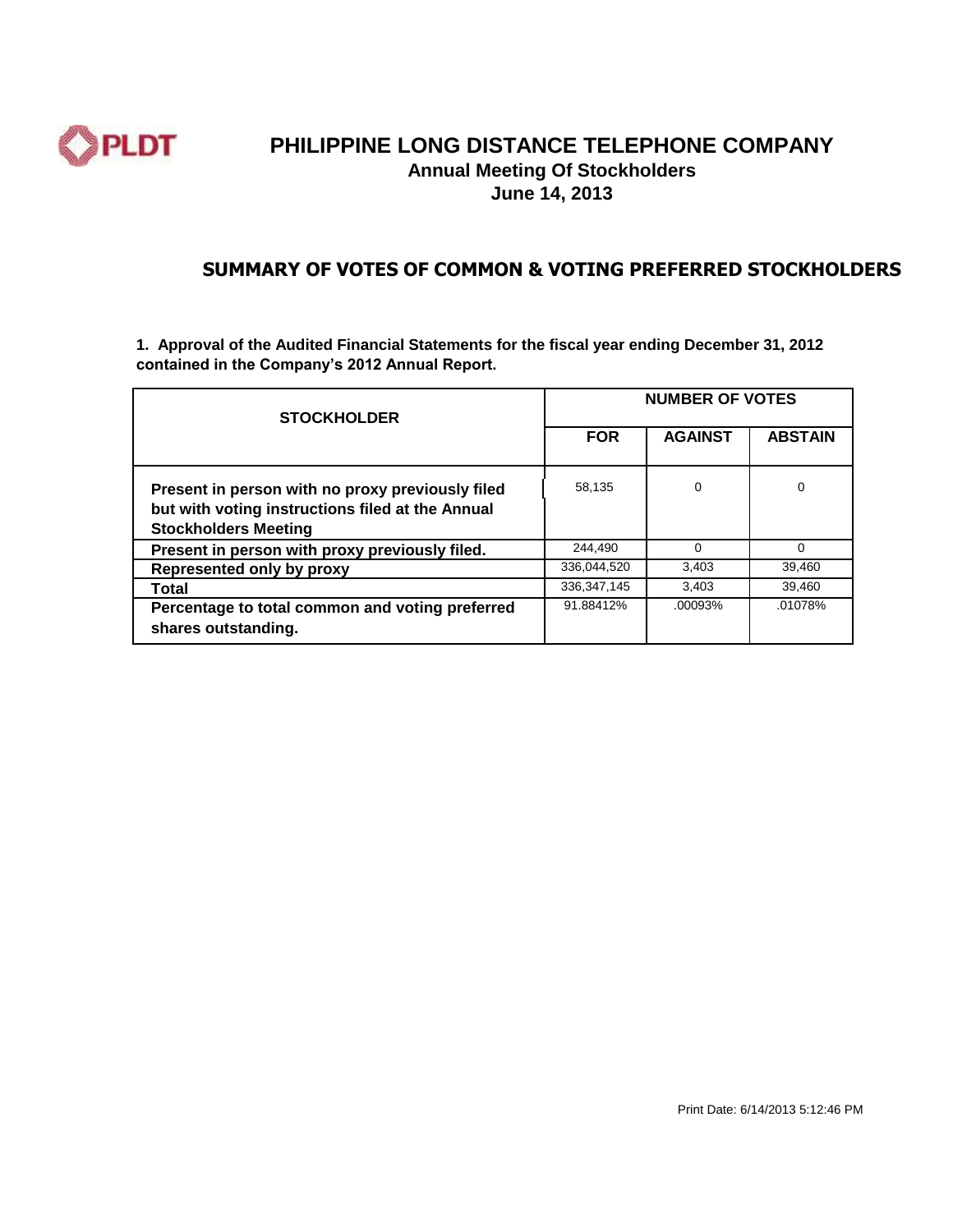

#### **PHILIPPINE LONG DISTANCE TELEPHONE COMPANY Annual Meeting Of Stockholders June 14, 2013**

#### **SUMMARY OF VOTES OF COMMON & VOTING PREFERRED STOCKHOLDERS**

**1. Approval of the Audited Financial Statements for the fiscal year ending December 31, 2012 contained in the Company's 2012 Annual Report.**

| <b>STOCKHOLDER</b>                                                                                                                  | <b>NUMBER OF VOTES</b> |                |                |  |
|-------------------------------------------------------------------------------------------------------------------------------------|------------------------|----------------|----------------|--|
|                                                                                                                                     | <b>FOR</b>             | <b>AGAINST</b> | <b>ABSTAIN</b> |  |
| Present in person with no proxy previously filed<br>but with voting instructions filed at the Annual<br><b>Stockholders Meeting</b> | 58,135                 | $\Omega$       | 0              |  |
| Present in person with proxy previously filed.                                                                                      | 244,490                | $\Omega$       | $\Omega$       |  |
| Represented only by proxy                                                                                                           | 336.044.520            | 3,403          | 39,460         |  |
| Total                                                                                                                               | 336, 347, 145          | 3,403          | 39,460         |  |
| Percentage to total common and voting preferred<br>shares outstanding.                                                              | 91.88412%              | .00093%        | .01078%        |  |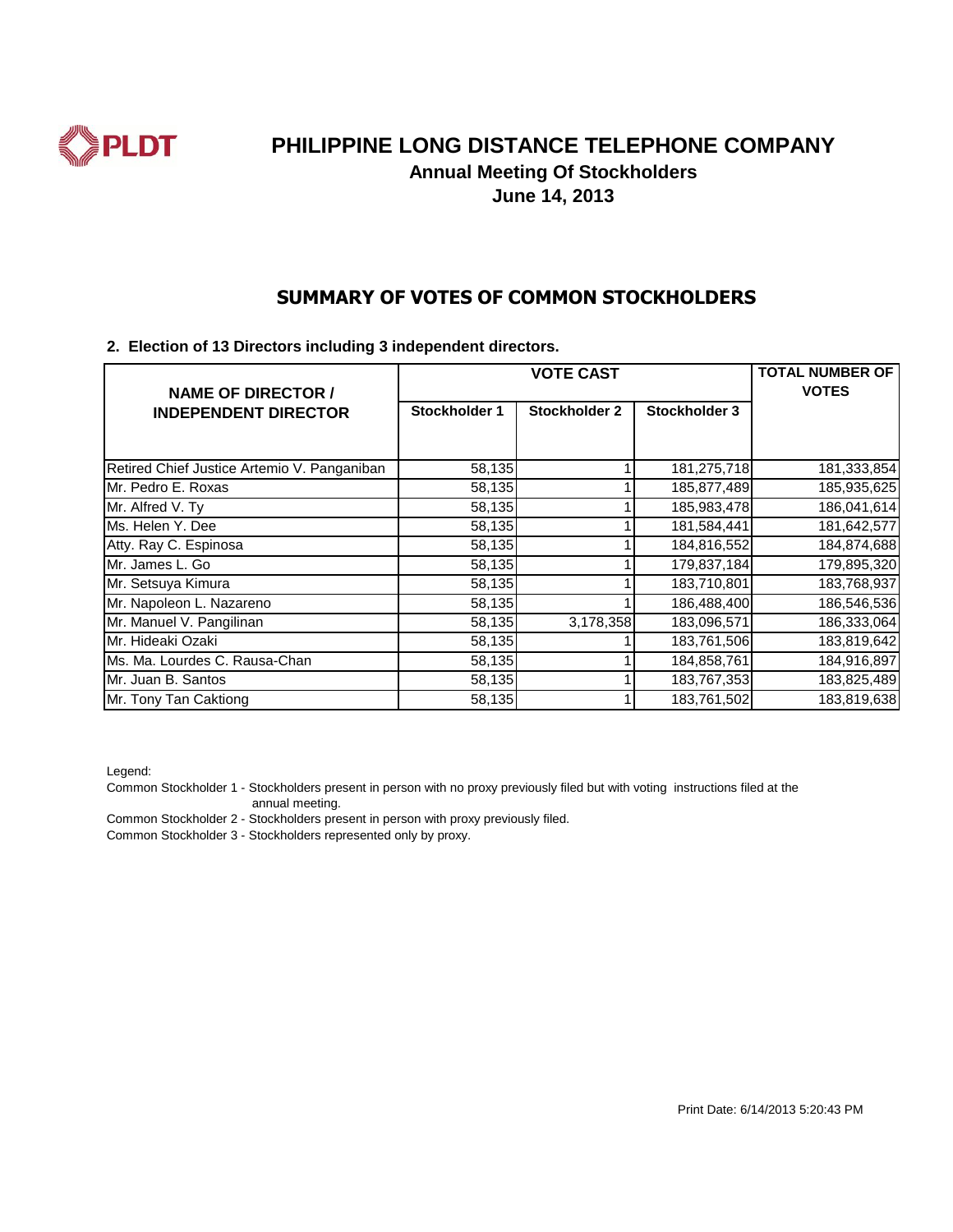

**Annual Meeting Of Stockholders**

**June 14, 2013**

#### **SUMMARY OF VOTES OF COMMON STOCKHOLDERS**

#### **2. Election of 13 Directors including 3 independent directors.**

| <b>NAME OF DIRECTOR /</b>                   | <b>VOTE CAST</b> |                      |               | <b>TOTAL NUMBER OF</b><br><b>VOTES</b> |
|---------------------------------------------|------------------|----------------------|---------------|----------------------------------------|
| <b>INDEPENDENT DIRECTOR</b>                 | Stockholder 1    | <b>Stockholder 2</b> | Stockholder 3 |                                        |
|                                             |                  |                      |               |                                        |
| Retired Chief Justice Artemio V. Panganiban | 58,135           |                      | 181,275,718   | 181,333,854                            |
| Mr. Pedro E. Roxas                          | 58,135           |                      | 185,877,489   | 185,935,625                            |
| Mr. Alfred V. Ty                            | 58,135           |                      | 185,983,478   | 186,041,614                            |
| Ms. Helen Y. Dee                            | 58,135           |                      | 181,584,441   | 181,642,577                            |
| Atty. Ray C. Espinosa                       | 58,135           |                      | 184,816,552   | 184,874,688                            |
| Mr. James L. Go                             | 58,135           |                      | 179,837,184   | 179,895,320                            |
| Mr. Setsuya Kimura                          | 58,135           |                      | 183,710,801   | 183,768,937                            |
| Mr. Napoleon L. Nazareno                    | 58,135           |                      | 186,488,400   | 186,546,536                            |
| Mr. Manuel V. Pangilinan                    | 58,135           | 3,178,358            | 183,096,571   | 186,333,064                            |
| Mr. Hideaki Ozaki                           | 58,135           |                      | 183,761,506   | 183,819,642                            |
| Ms. Ma. Lourdes C. Rausa-Chan               | 58,135           |                      | 184,858,761   | 184,916,897                            |
| Mr. Juan B. Santos                          | 58,135           |                      | 183,767,353   | 183,825,489                            |
| Mr. Tony Tan Caktiong                       | 58,135           |                      | 183,761,502   | 183,819,638                            |

Legend:

Common Stockholder 1 - Stockholders present in person with no proxy previously filed but with voting instructions filed at the annual meeting.

Common Stockholder 2 - Stockholders present in person with proxy previously filed.

Common Stockholder 3 - Stockholders represented only by proxy.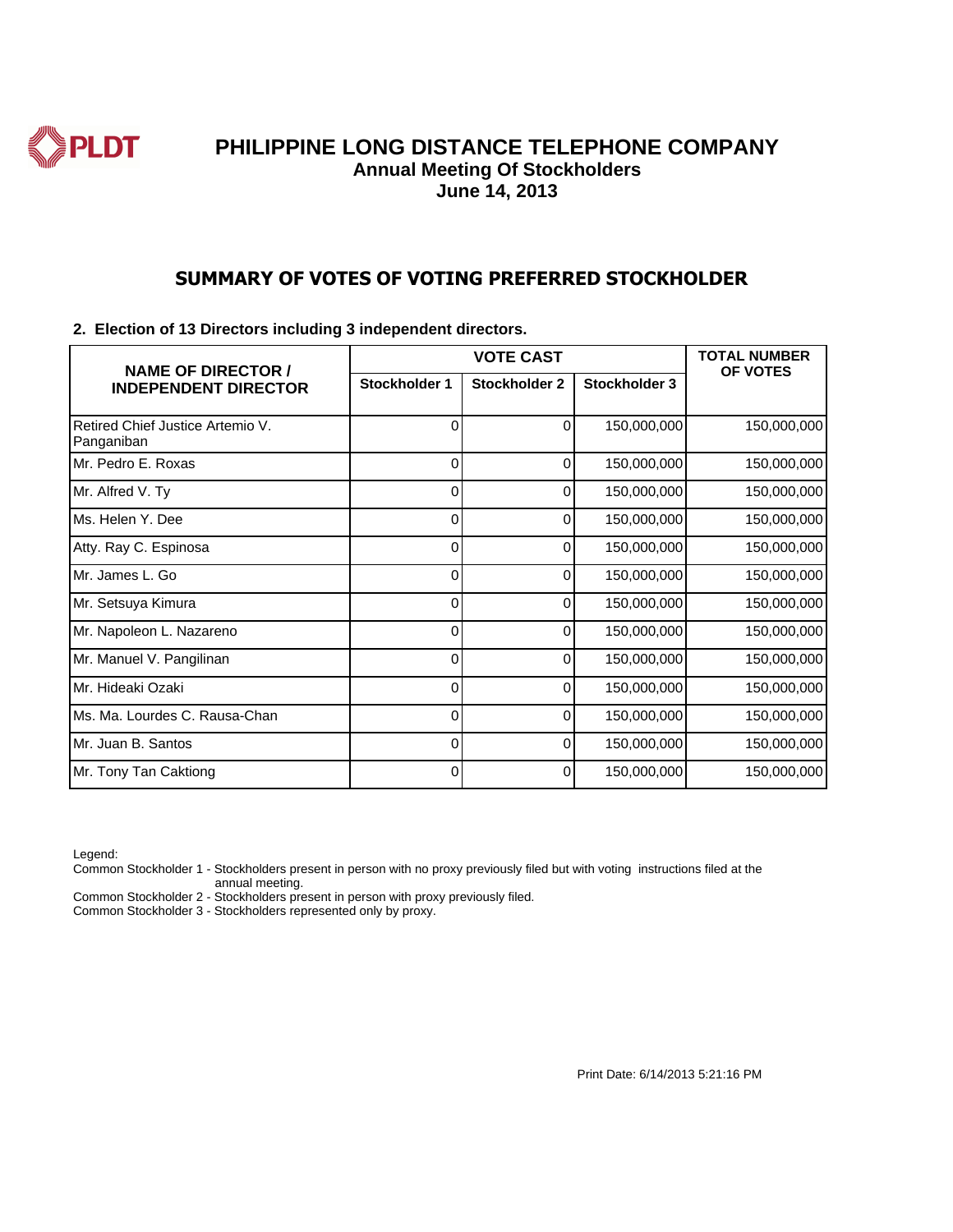

#### **SUMMARY OF VOTES OF VOTING PREFERRED STOCKHOLDER**

#### **2. Election of 13 Directors including 3 independent directors.**

| <b>NAME OF DIRECTOR /</b>                      | <b>VOTE CAST</b> |               |               | <b>TOTAL NUMBER</b><br><b>OF VOTES</b> |
|------------------------------------------------|------------------|---------------|---------------|----------------------------------------|
| <b>INDEPENDENT DIRECTOR</b>                    | Stockholder 1    | Stockholder 2 | Stockholder 3 |                                        |
| Retired Chief Justice Artemio V.<br>Panganiban | 0                | 0             | 150,000,000   | 150,000,000                            |
| Mr. Pedro E. Roxas                             | 0                | 0             | 150,000,000   | 150,000,000                            |
| Mr. Alfred V. Ty                               | 0                | 0             | 150,000,000   | 150,000,000                            |
| lMs. Helen Y. Dee                              | 0                | 0             | 150,000,000   | 150,000,000                            |
| Atty. Ray C. Espinosa                          | 0                | 0             | 150,000,000   | 150,000,000                            |
| IMr. James L. Go                               | 0                | ი             | 150,000,000   | 150,000,000                            |
| Mr. Setsuya Kimura                             | 0                | 0             | 150,000,000   | 150,000,000                            |
| Mr. Napoleon L. Nazareno                       | 0                | 0             | 150,000,000   | 150,000,000                            |
| Mr. Manuel V. Pangilinan                       | ი                | ი             | 150,000,000   | 150,000,000                            |
| Mr. Hideaki Ozaki                              | 0                | 0             | 150,000,000   | 150,000,000                            |
| IMs. Ma. Lourdes C. Rausa-Chan                 | 0                | 0             | 150,000,000   | 150,000,000                            |
| IMr. Juan B. Santos                            | 0                | 0             | 150,000,000   | 150,000,000                            |
| Mr. Tony Tan Caktiong                          | 0                | 0             | 150,000,000   | 150,000,000                            |

Legend:

Common Stockholder 1 - Stockholders present in person with no proxy previously filed but with voting instructions filed at the annual meeting.

Common Stockholder 2 - Stockholders present in person with proxy previously filed.

Common Stockholder 3 - Stockholders represented only by proxy.

Print Date: 6/14/2013 5:21:16 PM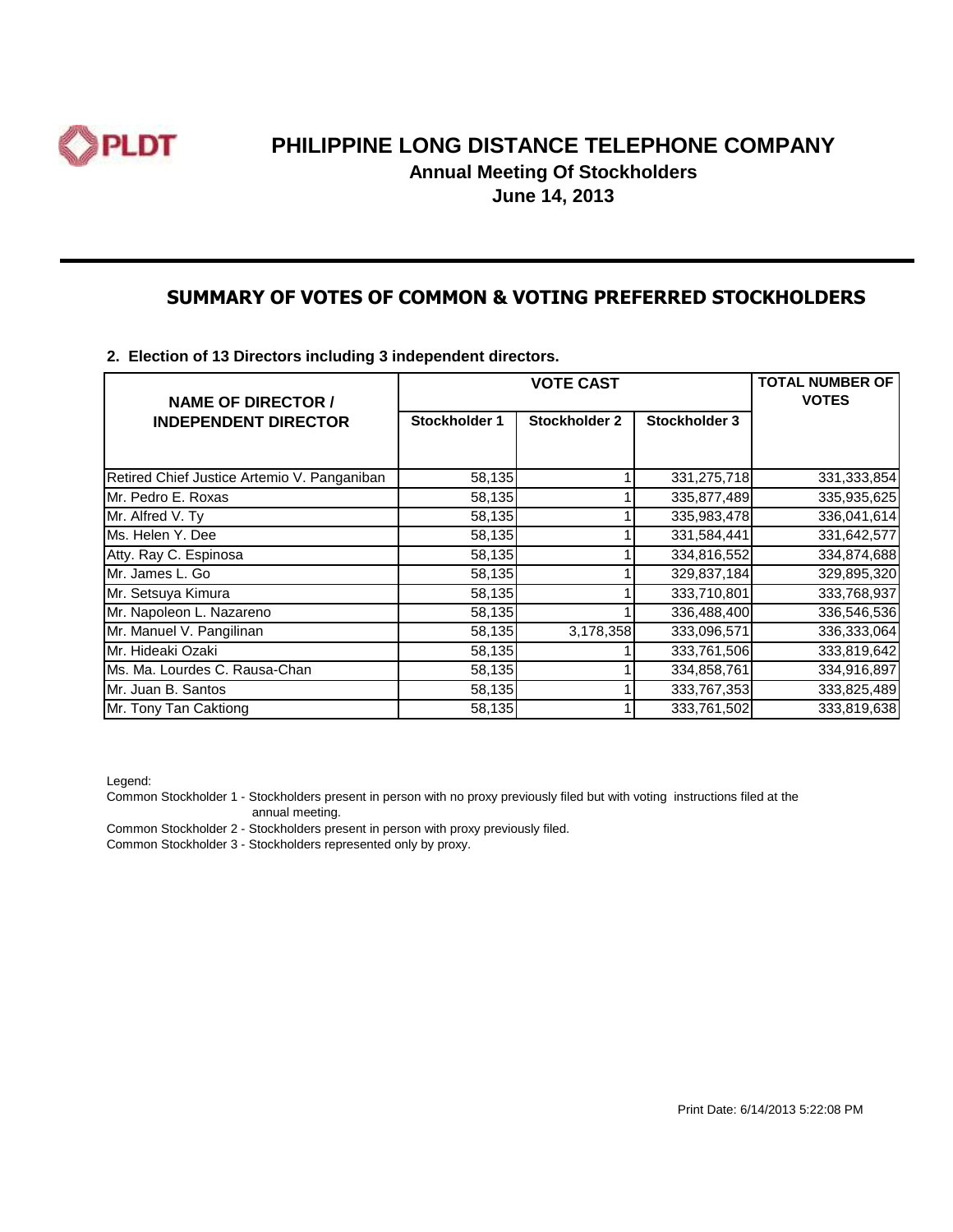

**Annual Meeting Of Stockholders**

**June 14, 2013**

#### **SUMMARY OF VOTES OF COMMON & VOTING PREFERRED STOCKHOLDERS**

**2. Election of 13 Directors including 3 independent directors.**

| <b>NAME OF DIRECTOR /</b>                   | <b>VOTE CAST</b> |                      |               | <b>TOTAL NUMBER OF</b><br><b>VOTES</b> |
|---------------------------------------------|------------------|----------------------|---------------|----------------------------------------|
| <b>INDEPENDENT DIRECTOR</b>                 | Stockholder 1    | <b>Stockholder 2</b> | Stockholder 3 |                                        |
|                                             |                  |                      |               |                                        |
| Retired Chief Justice Artemio V. Panganiban | 58,135           |                      | 331,275,718   | 331,333,854                            |
| Mr. Pedro E. Roxas                          | 58,135           |                      | 335,877,489   | 335,935,625                            |
| Mr. Alfred V. Ty                            | 58,135           |                      | 335,983,478   | 336,041,614                            |
| Ms. Helen Y. Dee                            | 58,135           |                      | 331,584,441   | 331,642,577                            |
| Atty. Ray C. Espinosa                       | 58,135           |                      | 334,816,552   | 334,874,688                            |
| Mr. James L. Go                             | 58,135           |                      | 329,837,184   | 329,895,320                            |
| Mr. Setsuya Kimura                          | 58,135           |                      | 333,710,801   | 333,768,937                            |
| Mr. Napoleon L. Nazareno                    | 58,135           |                      | 336,488,400   | 336,546,536                            |
| Mr. Manuel V. Pangilinan                    | 58,135           | 3,178,358            | 333,096,571   | 336,333,064                            |
| Mr. Hideaki Ozaki                           | 58,135           |                      | 333,761,506   | 333,819,642                            |
| Ms. Ma. Lourdes C. Rausa-Chan               | 58,135           |                      | 334,858,761   | 334,916,897                            |
| Mr. Juan B. Santos                          | 58,135           |                      | 333,767,353   | 333,825,489                            |
| Mr. Tony Tan Caktiong                       | 58,135           |                      | 333,761,502   | 333,819,638                            |

Legend:

Common Stockholder 1 - Stockholders present in person with no proxy previously filed but with voting instructions filed at the annual meeting.

Common Stockholder 2 - Stockholders present in person with proxy previously filed.

Common Stockholder 3 - Stockholders represented only by proxy.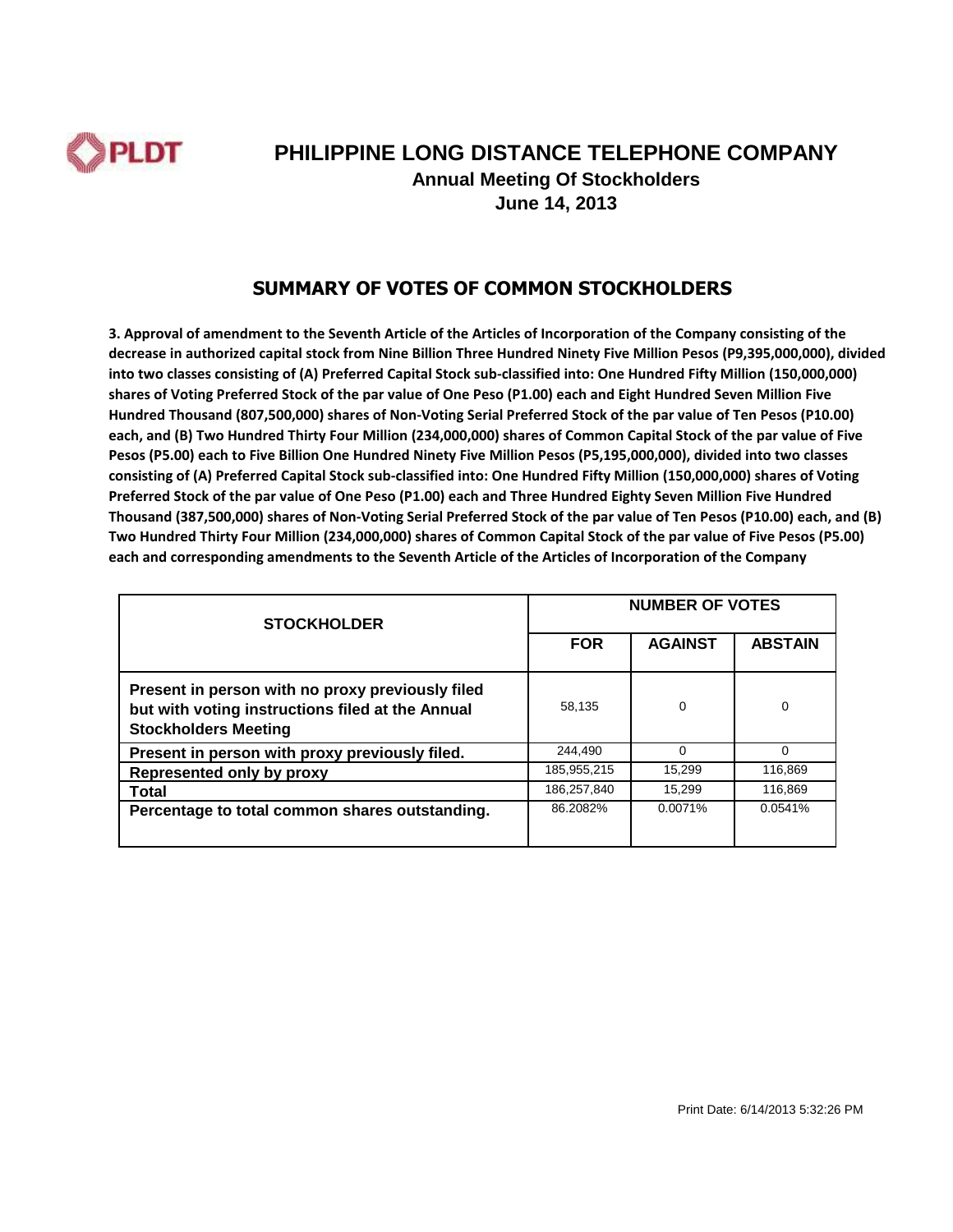

# **PHILIPPINE LONG DISTANCE TELEPHONE COMPANY Annual Meeting Of Stockholders**

**June 14, 2013**

#### **SUMMARY OF VOTES OF COMMON STOCKHOLDERS**

| <b>STOCKHOLDER</b>                                                                                                                  | <b>NUMBER OF VOTES</b> |                |                |  |
|-------------------------------------------------------------------------------------------------------------------------------------|------------------------|----------------|----------------|--|
|                                                                                                                                     | <b>FOR</b>             | <b>AGAINST</b> | <b>ABSTAIN</b> |  |
| Present in person with no proxy previously filed<br>but with voting instructions filed at the Annual<br><b>Stockholders Meeting</b> | 58.135                 | $\Omega$       | 0              |  |
| Present in person with proxy previously filed.                                                                                      | 244.490                |                | $\Omega$       |  |
| Represented only by proxy                                                                                                           | 185,955,215            | 15.299         | 116,869        |  |
| Total                                                                                                                               | 186,257,840            | 15,299         | 116,869        |  |
| Percentage to total common shares outstanding.                                                                                      | 86.2082%               | 0.0071%        | 0.0541%        |  |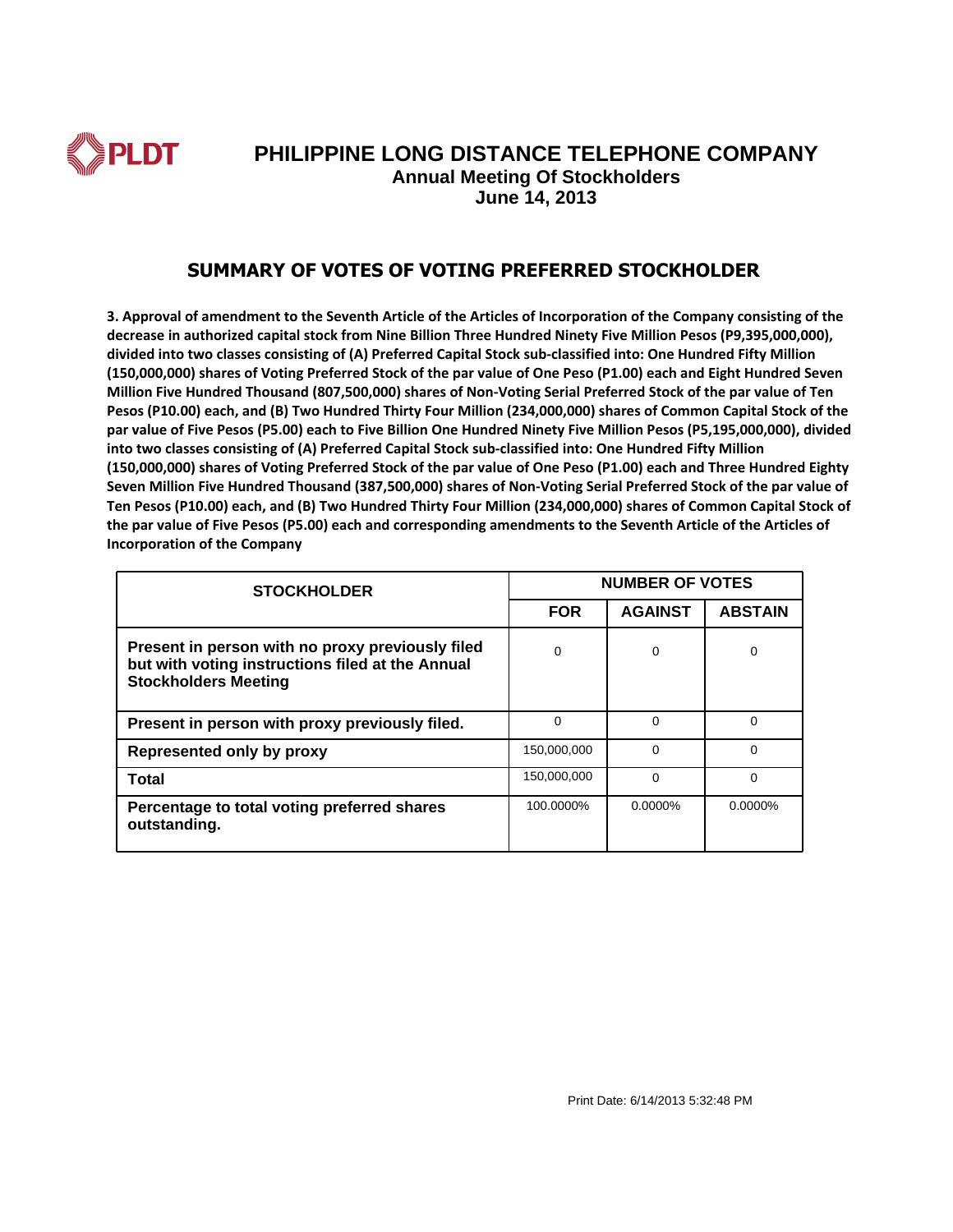

#### **SUMMARY OF VOTES OF VOTING PREFERRED STOCKHOLDER**

| <b>STOCKHOLDER</b>                                                                                                                  | <b>NUMBER OF VOTES</b> |                |                |
|-------------------------------------------------------------------------------------------------------------------------------------|------------------------|----------------|----------------|
|                                                                                                                                     | <b>FOR</b>             | <b>AGAINST</b> | <b>ABSTAIN</b> |
| Present in person with no proxy previously filed<br>but with voting instructions filed at the Annual<br><b>Stockholders Meeting</b> | 0                      | 0              | 0              |
| Present in person with proxy previously filed.                                                                                      | 0                      | $\Omega$       | $\Omega$       |
| Represented only by proxy                                                                                                           | 150,000,000            | $\Omega$       | $\Omega$       |
| Total                                                                                                                               | 150.000.000            | $\Omega$       | $\Omega$       |
| Percentage to total voting preferred shares<br>outstanding.                                                                         | 100.0000%              | $0.0000\%$     | $0.0000\%$     |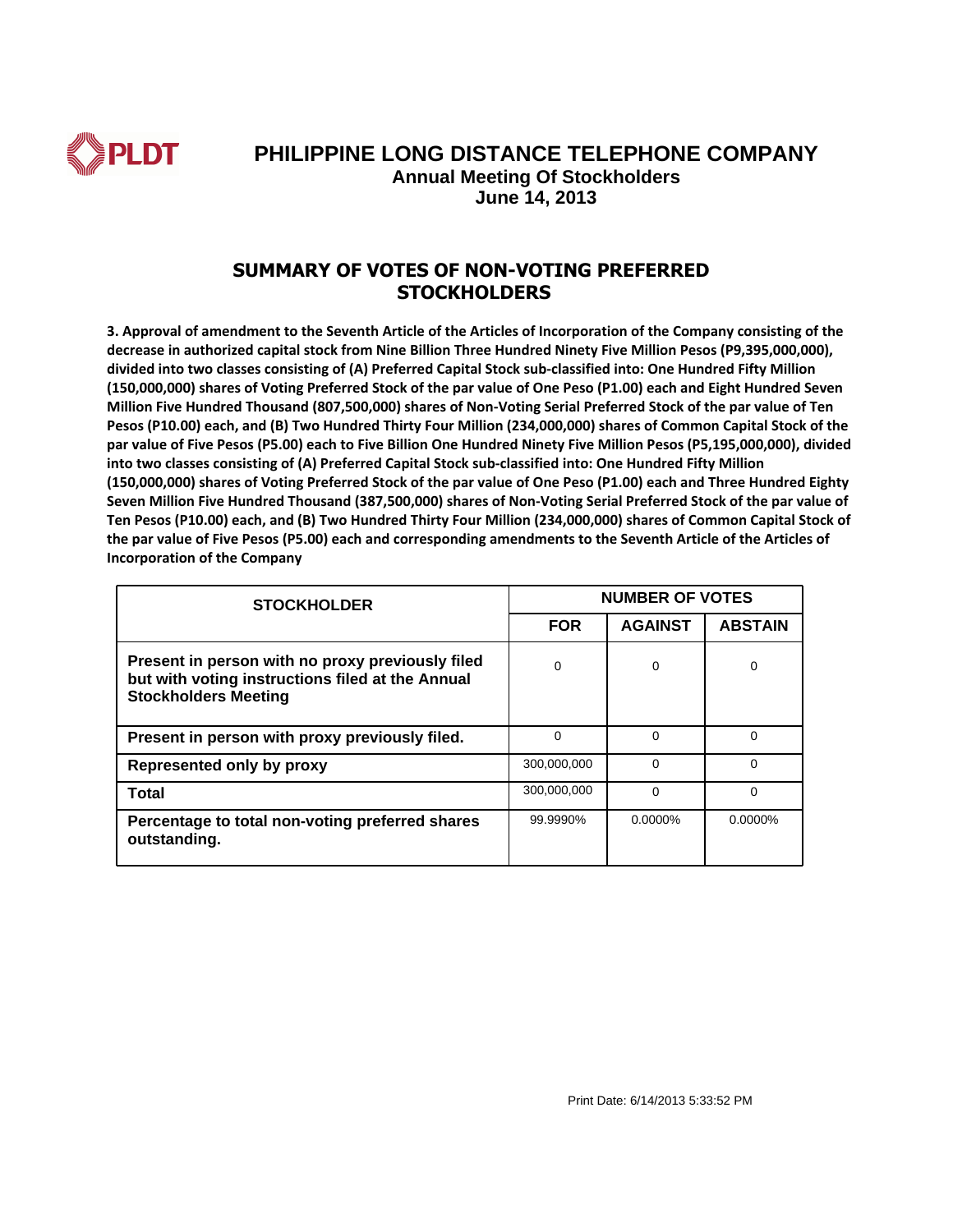

#### **SUMMARY OF VOTES OF NON-VOTING PREFERRED STOCKHOLDERS**

| <b>STOCKHOLDER</b>                                                                                                                  | <b>NUMBER OF VOTES</b> |                |                |
|-------------------------------------------------------------------------------------------------------------------------------------|------------------------|----------------|----------------|
|                                                                                                                                     | <b>FOR</b>             | <b>AGAINST</b> | <b>ABSTAIN</b> |
| Present in person with no proxy previously filed<br>but with voting instructions filed at the Annual<br><b>Stockholders Meeting</b> | 0                      | 0              | 0              |
| Present in person with proxy previously filed.                                                                                      | 0                      | $\Omega$       | $\Omega$       |
| <b>Represented only by proxy</b>                                                                                                    | 300.000.000            | $\Omega$       | $\Omega$       |
| Total                                                                                                                               | 300,000,000            | $\Omega$       | $\Omega$       |
| Percentage to total non-voting preferred shares<br>outstanding.                                                                     | 99.9990%               | $0.0000\%$     | $0.0000\%$     |